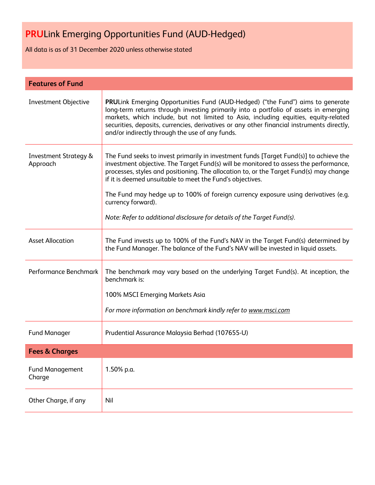All data is as of 31 December 2020 unless otherwise stated

| <b>Features of Fund</b>                      |                                                                                                                                                                                                                                                                                                                                                                                                                                                                                                                               |  |
|----------------------------------------------|-------------------------------------------------------------------------------------------------------------------------------------------------------------------------------------------------------------------------------------------------------------------------------------------------------------------------------------------------------------------------------------------------------------------------------------------------------------------------------------------------------------------------------|--|
| Investment Objective                         | <b>PRULink Emerging Opportunities Fund (AUD-Hedged) ("the Fund") aims to generate</b><br>long-term returns through investing primarily into a portfolio of assets in emerging<br>markets, which include, but not limited to Asia, including equities, equity-related<br>securities, deposits, currencies, derivatives or any other financial instruments directly,<br>and/or indirectly through the use of any funds.                                                                                                         |  |
| <b>Investment Strategy &amp;</b><br>Approach | The Fund seeks to invest primarily in investment funds [Target Fund(s)] to achieve the<br>investment objective. The Target Fund(s) will be monitored to assess the performance,<br>processes, styles and positioning. The allocation to, or the Target Fund(s) may change<br>if it is deemed unsuitable to meet the Fund's objectives.<br>The Fund may hedge up to 100% of foreign currency exposure using derivatives (e.g.<br>currency forward).<br>Note: Refer to additional disclosure for details of the Target Fund(s). |  |
| <b>Asset Allocation</b>                      | The Fund invests up to 100% of the Fund's NAV in the Target Fund(s) determined by<br>the Fund Manager. The balance of the Fund's NAV will be invested in liquid assets.                                                                                                                                                                                                                                                                                                                                                       |  |
| Performance Benchmark                        | The benchmark may vary based on the underlying Target Fund(s). At inception, the<br>benchmark is:<br>100% MSCI Emerging Markets Asia                                                                                                                                                                                                                                                                                                                                                                                          |  |
|                                              | For more information on benchmark kindly refer to www.msci.com                                                                                                                                                                                                                                                                                                                                                                                                                                                                |  |
| <b>Fund Manager</b>                          | Prudential Assurance Malaysia Berhad (107655-U)                                                                                                                                                                                                                                                                                                                                                                                                                                                                               |  |
| <b>Fees &amp; Charges</b>                    |                                                                                                                                                                                                                                                                                                                                                                                                                                                                                                                               |  |
| <b>Fund Management</b><br>Charge             | 1.50% p.a.                                                                                                                                                                                                                                                                                                                                                                                                                                                                                                                    |  |
| Other Charge, if any                         | Nil                                                                                                                                                                                                                                                                                                                                                                                                                                                                                                                           |  |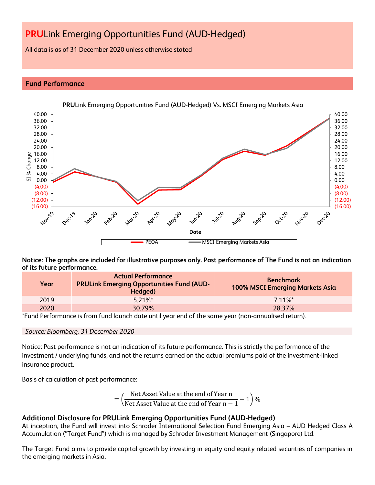All data is as of 31 December 2020 unless otherwise stated

# **Fund Performance**



**PRU**Link Emerging Opportunities Fund (AUD-Hedged) Vs. MSCI Emerging Markets Asia

**Notice: The graphs are included for illustrative purposes only. Past performance of The Fund is not an indication of its future performance.**

| Year | <b>Actual Performance</b><br><b>PRULink Emerging Opportunities Fund (AUD-</b><br>Hedged) | <b>Benchmark</b><br>100% MSCI Emerging Markets Asia |
|------|------------------------------------------------------------------------------------------|-----------------------------------------------------|
| 2019 | $5.21\%$ *                                                                               | 7 11%*                                              |
| 2020 | 30.79%                                                                                   | 28.37%                                              |

\*Fund Performance is from fund launch date until year end of the same year (non-annualised return).

### *Source: Bloomberg, 31 December 2020*

Notice: Past performance is not an indication of its future performance. This is strictly the performance of the investment / underlying funds, and not the returns earned on the actual premiums paid of the investment-linked insurance product.

Basis of calculation of past performance:

$$
= \left(\frac{\text{Net Asset Value at the end of Year n}}{\text{Net Asset Value at the end of Year n} - 1}\right)\%
$$

# **Additional Disclosure for PRULink Emerging Opportunities Fund (AUD-Hedged)**

At inception, the Fund will invest into Schroder International Selection Fund Emerging Asia – AUD Hedged Class A Accumulation ("Target Fund") which is managed by Schroder Investment Management (Singapore) Ltd.

The Target Fund aims to provide capital growth by investing in equity and equity related securities of companies in the emerging markets in Asia.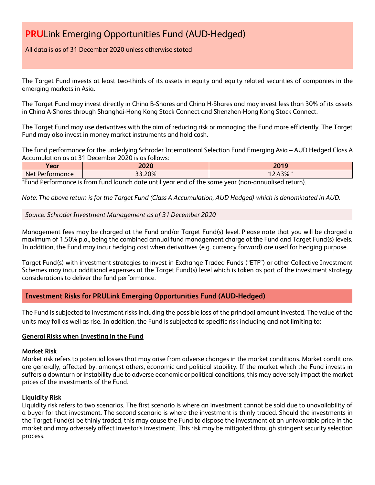# All data is as of 31 December 2020 unless otherwise stated

The Target Fund invests at least two-thirds of its assets in equity and equity related securities of companies in the emerging markets in Asia.

The Target Fund may invest directly in China B-Shares and China H-Shares and may invest less than 30% of its assets in China A-Shares through Shanghai-Hong Kong Stock Connect and Shenzhen-Hong Kong Stock Connect.

The Target Fund may use derivatives with the aim of reducing risk or managing the Fund more efficiently. The Target Fund may also invest in money market instruments and hold cash.

The fund performance for the underlying Schroder International Selection Fund Emerging Asia – AUD Hedged Class A Accumulation as at 31 December 2020 is as follows:

| Year                            | 2020      | $2010$<br>ΖV              |
|---------------------------------|-----------|---------------------------|
| Net<br>ormance<br>Port <i>r</i> | .20%<br>ົ | 1.201<br>$\sim$<br>12.43% |

\*Fund Performance is from fund launch date until year end of the same year (non-annualised return).

*Note: The above return is for the Target Fund (Class A Accumulation, AUD Hedged) which is denominated in AUD.*

## *Source: Schroder Investment Management as of 31 December 2020*

Management fees may be charged at the Fund and/or Target Fund(s) level. Please note that you will be charged a maximum of 1.50% p.a., being the combined annual fund management charge at the Fund and Target Fund(s) levels. In addition, the Fund may incur hedging cost when derivatives (e.g. currency forward) are used for hedging purpose.

Target Fund(s) with investment strategies to invest in Exchange Traded Funds ("ETF") or other Collective Investment Schemes may incur additional expenses at the Target Fund(s) level which is taken as part of the investment strategy considerations to deliver the fund performance.

# **Investment Risks for PRULink Emerging Opportunities Fund (AUD-Hedged)**

The Fund is subjected to investment risks including the possible loss of the principal amount invested. The value of the units may fall as well as rise. In addition, the Fund is subjected to specific risk including and not limiting to:

### **General Risks when Investing in the Fund**

### **Market Risk**

Market risk refers to potential losses that may arise from adverse changes in the market conditions. Market conditions are generally, affected by, amongst others, economic and political stability. If the market which the Fund invests in suffers a downturn or instability due to adverse economic or political conditions, this may adversely impact the market prices of the investments of the Fund.

### **Liquidity Risk**

Liquidity risk refers to two scenarios. The first scenario is where an investment cannot be sold due to unavailability of a buyer for that investment. The second scenario is where the investment is thinly traded. Should the investments in the Target Fund(s) be thinly traded, this may cause the Fund to dispose the investment at an unfavorable price in the market and may adversely affect investor's investment. This risk may be mitigated through stringent security selection process.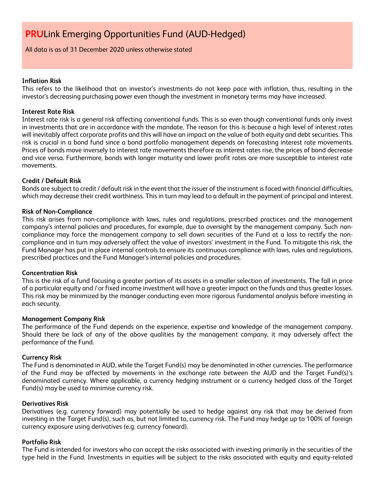All data is as of 31 December 2020 unless otherwise stated

## **Inflation Risk**

This refers to the likelihood that an investor's investments do not keep pace with inflation, thus, resulting in the investor's decreasing purchasing power even though the investment in monetary terms may have increased.

### **Interest Rate Risk**

Interest rate risk is a general risk affecting conventional funds. This is so even though conventional funds only invest in investments that are in accordance with the mandate. The reason for this is because a high level of interest rates will inevitably affect corporate profits and this will have an impact on the value of both equity and debt securities. This risk is crucial in a bond fund since a bond portfolio management depends on forecasting interest rate movements. Prices of bonds move inversely to interest rate movements therefore as interest rates rise, the prices of bond decrease and vice versa. Furthermore, bonds with longer maturity and lower profit rates are more susceptible to interest rate movements.

## **Credit / Default Risk**

Bonds are subject to credit / default risk in the event that the issuer of the instrument is faced with financial difficulties, which may decrease their credit worthiness. This in turn may lead to a default in the payment of principal and interest.

### **Risk of Non-Compliance**

This risk arises from non-compliance with laws, rules and regulations, prescribed practices and the management company's internal policies and procedures, for example, due to oversight by the management company. Such noncompliance may force the management company to sell down securities of the Fund at a loss to rectify the noncompliance and in turn may adversely affect the value of investors' investment in the Fund. To mitigate this risk, the Fund Manager has put in place internal controls to ensure its continuous compliance with laws, rules and regulations, prescribed practices and the Fund Manager's internal policies and procedures.

### **Concentration Risk**

This is the risk of a fund focusing a greater portion of its assets in a smaller selection of investments. The fall in price of a particular equity and / or fixed income investment will have a greater impact on the funds and thus greater losses. This risk may be minimized by the manager conducting even more rigorous fundamental analysis before investing in each security.

### **Management Company Risk**

The performance of the Fund depends on the experience, expertise and knowledge of the management company. Should there be lack of any of the above qualities by the management company, it may adversely affect the performance of the Fund.

### **Currency Risk**

The Fund is denominated in AUD, while the Target Fund(s) may be denominated in other currencies. The performance of the Fund may be affected by movements in the exchange rate between the AUD and the Target Fund(s)'s denominated currency. Where applicable, a currency hedging instrument or a currency hedged class of the Target Fund(s) may be used to minimise currency risk.

### **Derivatives Risk**

Derivatives (e.g. currency forward) may potentially be used to hedge against any risk that may be derived from investing in the Target Fund(s), such as, but not limited to, currency risk. The Fund may hedge up to 100% of foreign currency exposure using derivatives (e.g. currency forward).

### **Portfolio Risk**

The Fund is intended for investors who can accept the risks associated with investing primarily in the securities of the type held in the Fund. Investments in equities will be subject to the risks associated with equity and equity-related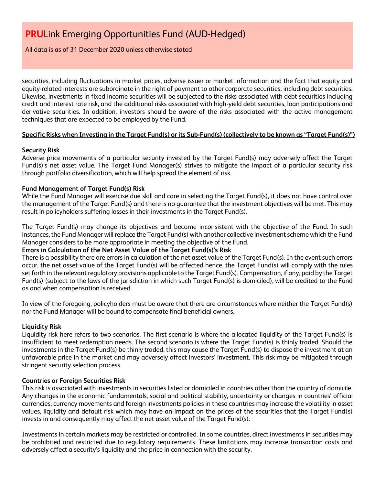# All data is as of 31 December 2020 unless otherwise stated

securities, including fluctuations in market prices, adverse issuer or market information and the fact that equity and equity-related interests are subordinate in the right of payment to other corporate securities, including debt securities. Likewise, investments in fixed income securities will be subjected to the risks associated with debt securities including credit and interest rate risk, and the additional risks associated with high-yield debt securities, loan participations and derivative securities. In addition, investors should be aware of the risks associated with the active management techniques that are expected to be employed by the Fund.

# **Specific Risks when Investing in the Target Fund(s) or its Sub-Fund(s) (collectively to be known as "Target Fund(s)")**

# **Security Risk**

Adverse price movements of a particular security invested by the Target Fund(s) may adversely affect the Target Fund(s)'s net asset value. The Target Fund Manager(s) strives to mitigate the impact of a particular security risk through portfolio diversification, which will help spread the element of risk.

# **Fund Management of Target Fund(s) Risk**

While the Fund Manager will exercise due skill and care in selecting the Target Fund(s), it does not have control over the management of the Target Fund(s) and there is no guarantee that the investment objectives will be met. This may result in policyholders suffering losses in their investments in the Target Fund(s).

The Target Fund(s) may change its objectives and become inconsistent with the objective of the Fund. In such instances, the Fund Manager will replace the Target Fund(s) with another collective investment scheme which the Fund Manager considers to be more appropriate in meeting the objective of the Fund.

# **Errors in Calculation of the Net Asset Value of the Target Fund(s)'s Risk**

There is a possibility there are errors in calculation of the net asset value of the Target Fund(s). In the event such errors occur, the net asset value of the Target Fund(s) will be affected hence, the Target Fund(s) will comply with the rules set forth in the relevant regulatory provisions applicable to the Target Fund(s). Compensation, if any, paid by the Target Fund(s) (subject to the laws of the jurisdiction in which such Target Fund(s) is domiciled), will be credited to the Fund as and when compensation is received.

In view of the foregoing, policyholders must be aware that there are circumstances where neither the Target Fund(s) nor the Fund Manager will be bound to compensate final beneficial owners.

# **Liquidity Risk**

Liquidity risk here refers to two scenarios. The first scenario is where the allocated liquidity of the Target Fund(s) is insufficient to meet redemption needs. The second scenario is where the Target Fund(s) is thinly traded. Should the investments in the Target Fund(s) be thinly traded, this may cause the Target Fund(s) to dispose the investment at an unfavorable price in the market and may adversely affect investors' investment. This risk may be mitigated through stringent security selection process.

# **Countries or Foreign Securities Risk**

This risk is associated with investments in securities listed or domiciled in countries other than the country of domicile. Any changes in the economic fundamentals, social and political stability, uncertainty or changes in countries' official currencies, currency movements and foreign investments policies in these countries may increase the volatility in asset values, liquidity and default risk which may have an impact on the prices of the securities that the Target Fund(s) invests in and consequently may affect the net asset value of the Target Fund(s).

Investments in certain markets may be restricted or controlled. In some countries, direct investments in securities may be prohibited and restricted due to regulatory requirements. These limitations may increase transaction costs and adversely affect a security's liquidity and the price in connection with the security.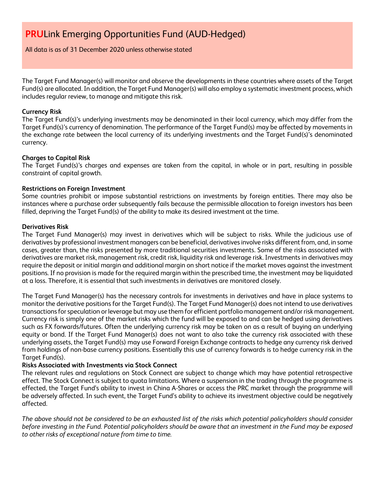All data is as of 31 December 2020 unless otherwise stated

The Target Fund Manager(s) will monitor and observe the developments in these countries where assets of the Target Fund(s) are allocated. In addition, the Target Fund Manager(s) will also employ a systematic investment process, which includes regular review, to manage and mitigate this risk.

## **Currency Risk**

The Target Fund(s)'s underlying investments may be denominated in their local currency, which may differ from the Target Fund(s)'s currency of denomination. The performance of the Target Fund(s) may be affected by movements in the exchange rate between the local currency of its underlying investments and the Target Fund(s)'s denominated currency.

## **Charges to Capital Risk**

The Target Fund(s)'s charges and expenses are taken from the capital, in whole or in part, resulting in possible constraint of capital growth.

## **Restrictions on Foreign Investment**

Some countries prohibit or impose substantial restrictions on investments by foreign entities. There may also be instances where a purchase order subsequently fails because the permissible allocation to foreign investors has been filled, depriving the Target Fund(s) of the ability to make its desired investment at the time.

## **Derivatives Risk**

The Target Fund Manager(s) may invest in derivatives which will be subject to risks. While the judicious use of derivatives by professional investment managers can be beneficial, derivatives involve risks different from, and, in some cases, greater than, the risks presented by more traditional securities investments. Some of the risks associated with derivatives are market risk, management risk, credit risk, liquidity risk and leverage risk. Investments in derivatives may require the deposit or initial margin and additional margin on short notice if the market moves against the investment positions. If no provision is made for the required margin within the prescribed time, the investment may be liquidated at a loss. Therefore, it is essential that such investments in derivatives are monitored closely.

The Target Fund Manager(s) has the necessary controls for investments in derivatives and have in place systems to monitor the derivative positions for the Target Fund(s). The Target Fund Manager(s) does not intend to use derivatives transactions for speculation or leverage but may use them for efficient portfolio management and/or risk management. Currency risk is simply one of the market risks which the fund will be exposed to and can be hedged using derivatives such as FX forwards/futures. Often the underlying currency risk may be taken on as a result of buying an underlying equity or bond. If the Target Fund Manager(s) does not want to also take the currency risk associated with these underlying assets, the Target Fund(s) may use Forward Foreign Exchange contracts to hedge any currency risk derived from holdings of non-base currency positions. Essentially this use of currency forwards is to hedge currency risk in the Target Fund(s).

### **Risks Associated with Investments via Stock Connect**

The relevant rules and regulations on Stock Connect are subject to change which may have potential retrospective effect. The Stock Connect is subject to quota limitations. Where a suspension in the trading through the programme is effected, the Target Fund's ability to invest in China A-Shares or access the PRC market through the programme will be adversely affected. In such event, the Target Fund's ability to achieve its investment objective could be negatively affected.

*The above should not be considered to be an exhausted list of the risks which potential policyholders should consider before investing in the Fund. Potential policyholders should be aware that an investment in the Fund may be exposed to other risks of exceptional nature from time to time.*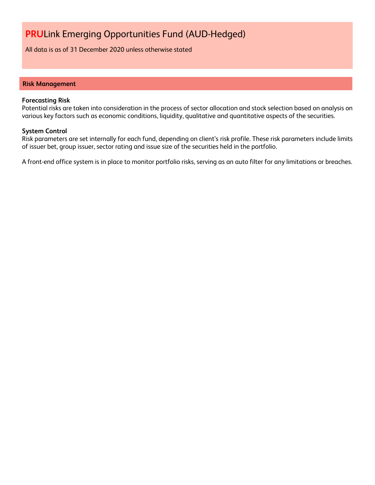All data is as of 31 December 2020 unless otherwise stated

#### **Risk Management**

#### **Forecasting Risk**

Potential risks are taken into consideration in the process of sector allocation and stock selection based on analysis on various key factors such as economic conditions, liquidity, qualitative and quantitative aspects of the securities.

#### **System Control**

Risk parameters are set internally for each fund, depending on client's risk profile. These risk parameters include limits of issuer bet, group issuer, sector rating and issue size of the securities held in the portfolio.

A front-end office system is in place to monitor portfolio risks, serving as an auto filter for any limitations or breaches.